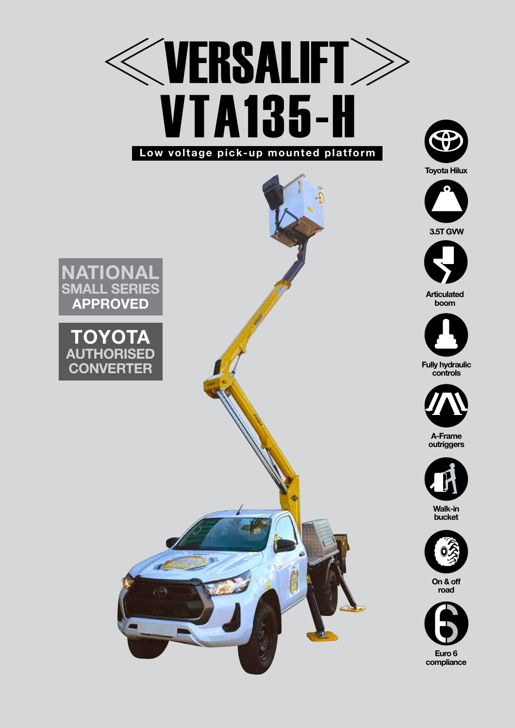







**Articulated boom**



**Fully hydraulic controls**



**A-Frame outriggers**



**Walk-in bucket**



**On & off road**



**National SMALL SERIES APPROVED**

## TOYO **ISED CONVERTER**